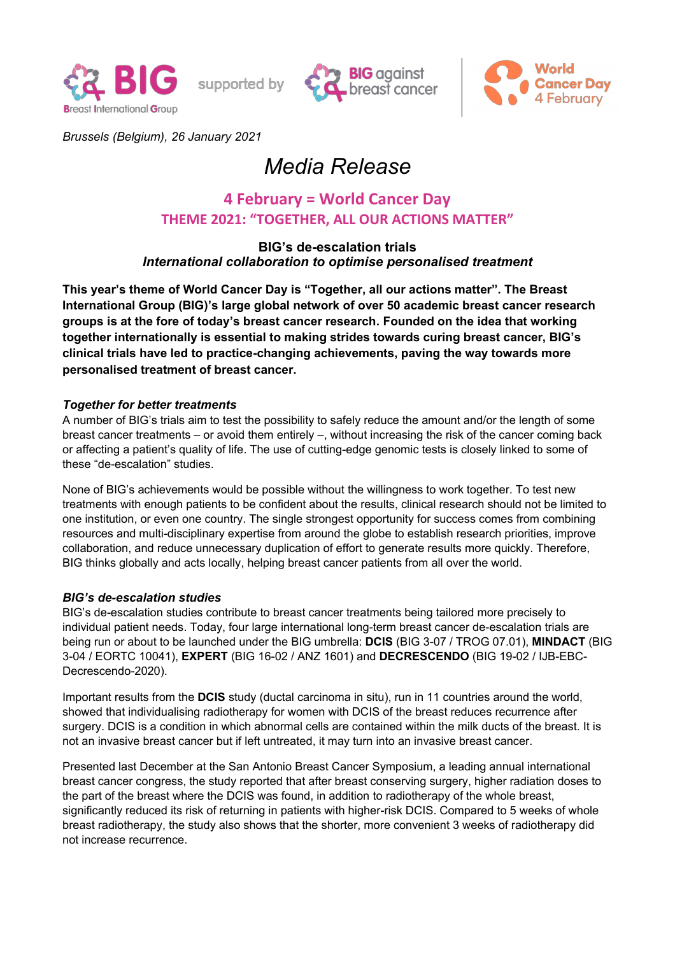

supported by





*Brussels (Belgium), 26 January 2021*

# *Media Release*

# **4 February = World Cancer Day THEME 2021: "TOGETHER, ALL OUR ACTIONS MATTER"**

# **BIG¶s de-escalation trials** *International collaboration to optimise personalised treatment*

This year's theme of World Cancer Day is "Together, all our actions matter". The Breast **International Group (BIG)¶s large global network of over 50 academic breast cancer research groups is at the fore of today¶s breast cancer research. Founded on the idea that working**  together internationally is essential to making strides towards curing breast cancer, BIG's **clinical trials have led to practice-changing achievements, paving the way towards more personalised treatment of breast cancer.**

## *Together for better treatments*

A number of BIG's trials aim to test the possibility to safely reduce the amount and/or the length of some breast cancer treatments  $-$  or avoid them entirely  $-$ , without increasing the risk of the cancer coming back or affecting a patient's quality of life. The use of cutting-edge genomic tests is closely linked to some of these "de-escalation" studies.

None of BIG's achievements would be possible without the willingness to work together. To test new treatments with enough patients to be confident about the results, clinical research should not be limited to one institution, or even one country. The single strongest opportunity for success comes from combining resources and multi-disciplinary expertise from around the globe to establish research priorities, improve collaboration, and reduce unnecessary duplication of effort to generate results more quickly. Therefore, BIG thinks globally and acts locally, helping breast cancer patients from all over the world.

### *BIG¶s de-escalation studies*

BIG's de-escalation studies contribute to breast cancer treatments being tailored more precisely to individual patient needs. Today, four large international long-term breast cancer de-escalation trials are being run or about to be launched under the BIG umbrella: **DCIS** (BIG 3-07 / TROG 07.01), **MINDACT** (BIG 3-04 / EORTC 10041), **EXPERT** (BIG 16-02 / ANZ 1601) and **DECRESCENDO** (BIG 19-02 / IJB-EBC-Decrescendo-2020).

Important results from the **DCIS** study (ductal carcinoma in situ), run in 11 countries around the world, showed that individualising radiotherapy for women with DCIS of the breast reduces recurrence after surgery. DCIS is a condition in which abnormal cells are contained within the milk ducts of the breast. It is not an invasive breast cancer but if left untreated, it may turn into an invasive breast cancer.

Presented last December at the San Antonio Breast Cancer Symposium, a leading annual international breast cancer congress, the study reported that after breast conserving surgery, higher radiation doses to the part of the breast where the DCIS was found, in addition to radiotherapy of the whole breast, significantly reduced its risk of returning in patients with higher-risk DCIS. Compared to 5 weeks of whole breast radiotherapy, the study also shows that the shorter, more convenient 3 weeks of radiotherapy did not increase recurrence.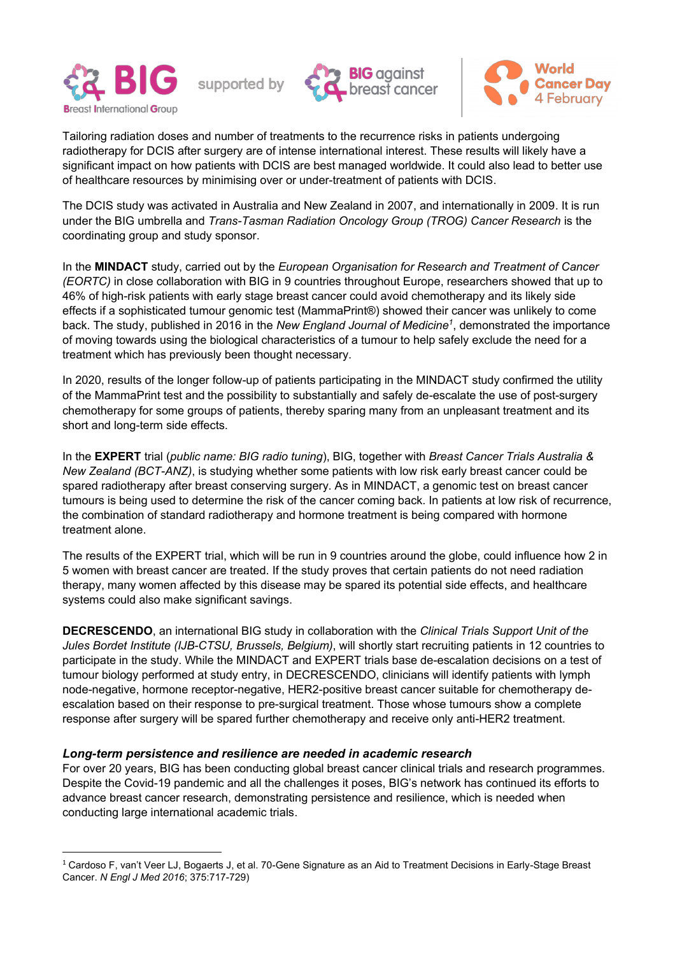





Tailoring radiation doses and number of treatments to the recurrence risks in patients undergoing radiotherapy for DCIS after surgery are of intense international interest. These results will likely have a significant impact on how patients with DCIS are best managed worldwide. It could also lead to better use of healthcare resources by minimising over or under-treatment of patients with DCIS.

The DCIS study was activated in Australia and New Zealand in 2007, and internationally in 2009. It is run under the BIG umbrella and *Trans-Tasman Radiation Oncology Group (TROG) Cancer Research* is the coordinating group and study sponsor.

In the **MINDACT** study, carried out by the *European Organisation for Research and Treatment of Cancer (EORTC)* in close collaboration with BIG in 9 countries throughout Europe, researchers showed that up to 46% of high-risk patients with early stage breast cancer could avoid chemotherapy and its likely side effects if a sophisticated tumour genomic test (MammaPrint®) showed their cancer was unlikely to come back. The study, published in 2016 in the New England Journal of Medicine<sup>1</sup>, demonstrated the importance of moving towards using the biological characteristics of a tumour to help safely exclude the need for a treatment which has previously been thought necessary.

In 2020, results of the longer follow-up of patients participating in the MINDACT study confirmed the utility of the MammaPrint test and the possibility to substantially and safely de-escalate the use of post-surgery chemotherapy for some groups of patients, thereby sparing many from an unpleasant treatment and its short and long-term side effects.

In the **EXPERT** trial (*public name: BIG radio tuning*), BIG, together with *Breast Cancer Trials Australia & New Zealand (BCT-ANZ)*, is studying whether some patients with low risk early breast cancer could be spared radiotherapy after breast conserving surgery. As in MINDACT, a genomic test on breast cancer tumours is being used to determine the risk of the cancer coming back. In patients at low risk of recurrence, the combination of standard radiotherapy and hormone treatment is being compared with hormone treatment alone.

The results of the EXPERT trial, which will be run in 9 countries around the globe, could influence how 2 in 5 women with breast cancer are treated. If the study proves that certain patients do not need radiation therapy, many women affected by this disease may be spared its potential side effects, and healthcare systems could also make significant savings.

**DECRESCENDO**, an international BIG study in collaboration with the *Clinical Trials Support Unit of the Jules Bordet Institute (IJB-CTSU, Brussels, Belgium)*, will shortly start recruiting patients in 12 countries to participate in the study. While the MINDACT and EXPERT trials base de-escalation decisions on a test of tumour biology performed at study entry, in DECRESCENDO, clinicians will identify patients with lymph node-negative, hormone receptor-negative, HER2-positive breast cancer suitable for chemotherapy deescalation based on their response to pre-surgical treatment. Those whose tumours show a complete response after surgery will be spared further chemotherapy and receive only anti-HER2 treatment.

### *Long-term persistence and resilience are needed in academic research*

For over 20 years, BIG has been conducting global breast cancer clinical trials and research programmes. Despite the Covid-19 pandemic and all the challenges it poses, BIG's network has continued its efforts to advance breast cancer research, demonstrating persistence and resilience, which is needed when conducting large international academic trials.

 $1$  Cardoso F, van't Veer LJ, Bogaerts J, et al. 70-Gene Signature as an Aid to Treatment Decisions in Early-Stage Breast Cancer. *N Engl J Med 2016*; 375:717-729)